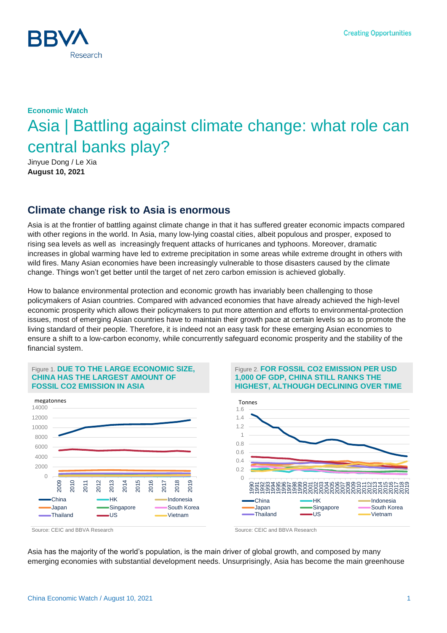

# **Economic Watch** Asia | Battling against climate change: what role can central banks play?

Jinyue Dong / Le Xia **August 10, 2021**

### **Climate change risk to Asia is enormous**

Asia is at the frontier of battling against climate change in that it has suffered greater economic impacts compared with other regions in the world. In Asia, many low-lying coastal cities, albeit populous and prosper, exposed to rising sea levels as well as increasingly frequent attacks of hurricanes and typhoons. Moreover, dramatic increases in global warming have led to extreme precipitation in some areas while extreme drought in others with wild fires. Many Asian economies have been increasingly vulnerable to those disasters caused by the climate change. Things won't get better until the target of net zero carbon emission is achieved globally.

How to balance environmental protection and economic growth has invariably been challenging to those policymakers of Asian countries. Compared with advanced economies that have already achieved the high-level economic prosperity which allows their policymakers to put more attention and efforts to environmental-protection issues, most of emerging Asian countries have to maintain their growth pace at certain levels so as to promote the living standard of their people. Therefore, it is indeed not an easy task for these emerging Asian economies to ensure a shift to a low-carbon economy, while concurrently safeguard economic prosperity and the stability of the financial system.

#### Figure 1. **DUE TO THE LARGE ECONOMIC SIZE, CHINA HAS THE LARGEST AMOUNT OF FOSSIL CO2 EMISSION IN ASIA**







Asia has the majority of the world's population, is the main driver of global growth, and composed by many emerging economies with substantial development needs. Unsurprisingly, Asia has become the main greenhouse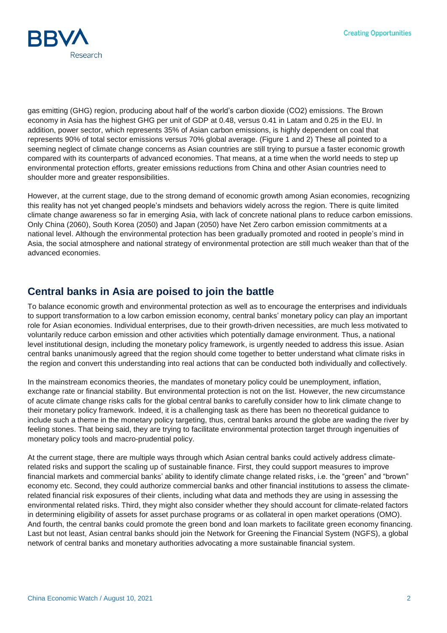

gas emitting (GHG) region, producing about half of the world's carbon dioxide (CO2) emissions. The Brown economy in Asia has the highest GHG per unit of GDP at 0.48, versus 0.41 in Latam and 0.25 in the EU. In addition, power sector, which represents 35% of Asian carbon emissions, is highly dependent on coal that represents 90% of total sector emissions versus 70% global average. (Figure 1 and 2) These all pointed to a seeming neglect of climate change concerns as Asian countries are still trying to pursue a faster economic growth compared with its counterparts of advanced economies. That means, at a time when the world needs to step up environmental protection efforts, greater emissions reductions from China and other Asian countries need to shoulder more and greater responsibilities.

However, at the current stage, due to the strong demand of economic growth among Asian economies, recognizing this reality has not yet changed people's mindsets and behaviors widely across the region. There is quite limited climate change awareness so far in emerging Asia, with lack of concrete national plans to reduce carbon emissions. Only China (2060), South Korea (2050) and Japan (2050) have Net Zero carbon emission commitments at a national level. Although the environmental protection has been gradually promoted and rooted in people's mind in Asia, the social atmosphere and national strategy of environmental protection are still much weaker than that of the advanced economies.

# **Central banks in Asia are poised to join the battle**

To balance economic growth and environmental protection as well as to encourage the enterprises and individuals to support transformation to a low carbon emission economy, central banks' monetary policy can play an important role for Asian economies. Individual enterprises, due to their growth-driven necessities, are much less motivated to voluntarily reduce carbon emission and other activities which potentially damage environment. Thus, a national level institutional design, including the monetary policy framework, is urgently needed to address this issue. Asian central banks unanimously agreed that the region should come together to better understand what climate risks in the region and convert this understanding into real actions that can be conducted both individually and collectively.

In the mainstream economics theories, the mandates of monetary policy could be unemployment, inflation, exchange rate or financial stability. But environmental protection is not on the list. However, the new circumstance of acute climate change risks calls for the global central banks to carefully consider how to link climate change to their monetary policy framework. Indeed, it is a challenging task as there has been no theoretical guidance to include such a theme in the monetary policy targeting, thus, central banks around the globe are wading the river by feeling stones. That being said, they are trying to facilitate environmental protection target through ingenuities of monetary policy tools and macro-prudential policy.

At the current stage, there are multiple ways through which Asian central banks could actively address climaterelated risks and support the scaling up of sustainable finance. First, they could support measures to improve financial markets and commercial banks' ability to identify climate change related risks, i.e. the "green" and "brown" economy etc. Second, they could authorize commercial banks and other financial institutions to assess the climaterelated financial risk exposures of their clients, including what data and methods they are using in assessing the environmental related risks. Third, they might also consider whether they should account for climate-related factors in determining eligibility of assets for asset purchase programs or as collateral in open market operations (OMO). And fourth, the central banks could promote the green bond and loan markets to facilitate green economy financing. Last but not least, Asian central banks should join the Network for Greening the Financial System (NGFS), a global network of central banks and monetary authorities advocating a more sustainable financial system.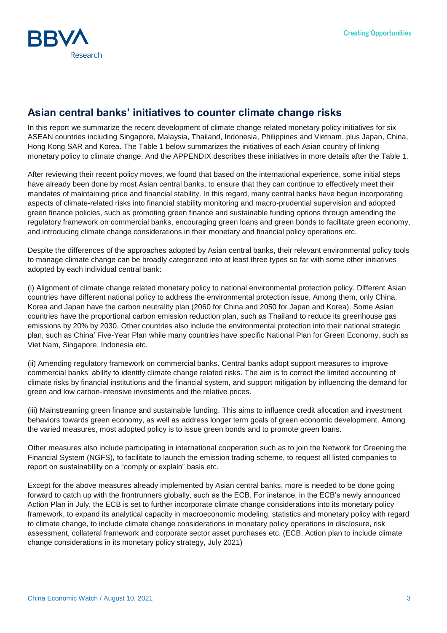

# **Asian central banks' initiatives to counter climate change risks**

In this report we summarize the recent development of climate change related monetary policy initiatives for six ASEAN countries including Singapore, Malaysia, Thailand, Indonesia, Philippines and Vietnam, plus Japan, China, Hong Kong SAR and Korea. The Table 1 below summarizes the initiatives of each Asian country of linking monetary policy to climate change. And the APPENDIX describes these initiatives in more details after the Table 1.

After reviewing their recent policy moves, we found that based on the international experience, some initial steps have already been done by most Asian central banks, to ensure that they can continue to effectively meet their mandates of maintaining price and financial stability. In this regard, many central banks have begun incorporating aspects of climate-related risks into financial stability monitoring and macro-prudential supervision and adopted green finance policies, such as promoting green finance and sustainable funding options through amending the regulatory framework on commercial banks, encouraging green loans and green bonds to facilitate green economy, and introducing climate change considerations in their monetary and financial policy operations etc.

Despite the differences of the approaches adopted by Asian central banks, their relevant environmental policy tools to manage climate change can be broadly categorized into at least three types so far with some other initiatives adopted by each individual central bank:

(i) Alignment of climate change related monetary policy to national environmental protection policy. Different Asian countries have different national policy to address the environmental protection issue. Among them, only China, Korea and Japan have the carbon neutrality plan (2060 for China and 2050 for Japan and Korea). Some Asian countries have the proportional carbon emission reduction plan, such as Thailand to reduce its greenhouse gas emissions by 20% by 2030. Other countries also include the environmental protection into their national strategic plan, such as China' Five-Year Plan while many countries have specific National Plan for Green Economy, such as Viet Nam, Singapore, Indonesia etc.

(ii) Amending regulatory framework on commercial banks. Central banks adopt support measures to improve commercial banks' ability to identify climate change related risks. The aim is to correct the limited accounting of climate risks by financial institutions and the financial system, and support mitigation by influencing the demand for green and low carbon-intensive investments and the relative prices.

(iii) Mainstreaming green finance and sustainable funding. This aims to influence credit allocation and investment behaviors towards green economy, as well as address longer term goals of green economic development. Among the varied measures, most adopted policy is to issue green bonds and to promote green loans.

Other measures also include participating in international cooperation such as to join the Network for Greening the Financial System (NGFS), to facilitate to launch the emission trading scheme, to request all listed companies to report on sustainability on a "comply or explain" basis etc.

Except for the above measures already implemented by Asian central banks, more is needed to be done going forward to catch up with the frontrunners globally, such as the ECB. For instance, in the ECB's newly announced Action Plan in July, the ECB is set to further incorporate climate change considerations into its monetary policy framework, to expand its analytical capacity in macroeconomic modeling, statistics and monetary policy with regard to climate change, to include climate change considerations in monetary policy operations in disclosure, risk assessment, collateral framework and corporate sector asset purchases etc. (ECB, Action plan to include climate change considerations in its monetary policy strategy, July 2021)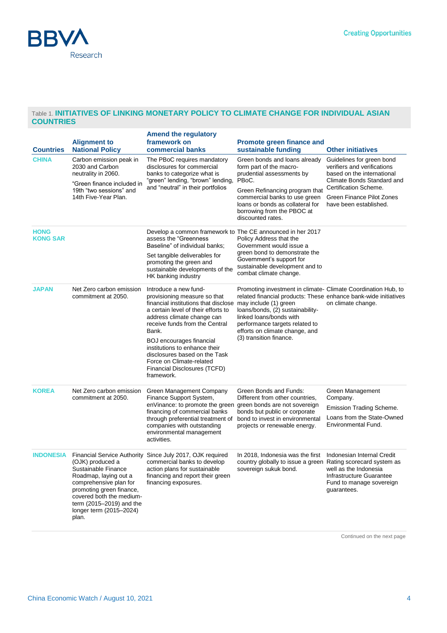

#### Table 1. **INITIATIVES OF LINKING MONETARY POLICY TO CLIMATE CHANGE FOR INDIVIDUAL ASIAN COUNTRIES**

|                                | <b>Alignment to</b>                                                                                                                                                                                                | <b>Amend the regulatory</b><br>framework on                                                                                                                                                                                                                                                                                                                                                                                               | <b>Promote green finance and</b>                                                                                                                                                                                                                                                               |                                                                                                                                                                                                      |
|--------------------------------|--------------------------------------------------------------------------------------------------------------------------------------------------------------------------------------------------------------------|-------------------------------------------------------------------------------------------------------------------------------------------------------------------------------------------------------------------------------------------------------------------------------------------------------------------------------------------------------------------------------------------------------------------------------------------|------------------------------------------------------------------------------------------------------------------------------------------------------------------------------------------------------------------------------------------------------------------------------------------------|------------------------------------------------------------------------------------------------------------------------------------------------------------------------------------------------------|
| <b>Countries</b>               | <b>National Policy</b>                                                                                                                                                                                             | commercial banks                                                                                                                                                                                                                                                                                                                                                                                                                          | sustainable funding                                                                                                                                                                                                                                                                            | <b>Other initiatives</b>                                                                                                                                                                             |
| <b>CHINA</b>                   | Carbon emission peak in<br>2030 and Carbon<br>neutrality in 2060.<br>"Green finance included in<br>19th "two sessions" and<br>14th Five-Year Plan.                                                                 | The PBoC requires mandatory<br>disclosures for commercial<br>banks to categorize what is<br>"green" lending, "brown" lending,<br>and "neutral" in their portfolios                                                                                                                                                                                                                                                                        | Green bonds and loans already<br>form part of the macro-<br>prudential assessments by<br>PBoC.<br>Green Refinancing program that<br>commercial banks to use green<br>loans or bonds as collateral for<br>borrowing from the PBOC at<br>discounted rates.                                       | Guidelines for green bond<br>verifiers and verifications<br>based on the international<br>Climate Bonds Standard and<br>Certification Scheme.<br>Green Finance Pilot Zones<br>have been established. |
| <b>HONG</b><br><b>KONG SAR</b> |                                                                                                                                                                                                                    | Develop a common framework to The CE announced in her 2017<br>assess the "Greenness<br>Baseline" of individual banks;<br>Set tangible deliverables for<br>promoting the green and<br>sustainable developments of the                                                                                                                                                                                                                      | Policy Address that the<br>Government would issue a<br>green bond to demonstrate the<br>Government's support for<br>sustainable development and to<br>combat climate change.                                                                                                                   |                                                                                                                                                                                                      |
| <b>JAPAN</b>                   | Net Zero carbon emission<br>commitment at 2050.                                                                                                                                                                    | HK banking industry<br>Introduce a new fund-<br>provisioning measure so that<br>financial institutions that disclose may include (1) green<br>a certain level of their efforts to<br>address climate change can<br>receive funds from the Central<br>Bank.<br><b>BOJ</b> encourages financial<br>institutions to enhance their<br>disclosures based on the Task<br>Force on Climate-related<br>Financial Disclosures (TCFD)<br>framework. | Promoting investment in climate- Climate Coordination Hub, to<br>related financial products: These enhance bank-wide initiatives<br>loans/bonds, (2) sustainability-<br>linked loans/bonds with<br>performance targets related to<br>efforts on climate change, and<br>(3) transition finance. | on climate change.                                                                                                                                                                                   |
| <b>KOREA</b>                   | Net Zero carbon emission<br>commitment at 2050.                                                                                                                                                                    | Green Management Company<br>Finance Support System,<br>enVinance: to promote the green green bonds are not sovereign<br>financing of commercial banks<br>through preferential treatment of<br>companies with outstanding<br>environmental management<br>activities.                                                                                                                                                                       | Green Bonds and Funds:<br>Different from other countries,<br>bonds but public or corporate<br>bond to invest in environmental<br>projects or renewable energy.                                                                                                                                 | Green Management<br>Company.<br>Emission Trading Scheme.<br>Loans from the State-Owned<br>Environmental Fund.                                                                                        |
| <b>INDONESIA</b>               | (OJK) produced a<br>Sustainable Finance<br>Roadmap, laying out a<br>comprehensive plan for<br>promoting green finance,<br>covered both the medium-<br>term (2015-2019) and the<br>longer term (2015-2024)<br>plan. | Financial Service Authority Since July 2017, OJK required<br>commercial banks to develop<br>action plans for sustainable<br>financing and report their green<br>financing exposures.                                                                                                                                                                                                                                                      | In 2018, Indonesia was the first Indonesian Internal Credit<br>country globally to issue a green Rating scorecard system as<br>sovereign sukuk bond.                                                                                                                                           | well as the Indonesia<br>Infrastructure Guarantee<br>Fund to manage sovereign<br>guarantees.                                                                                                         |

Continued on the next page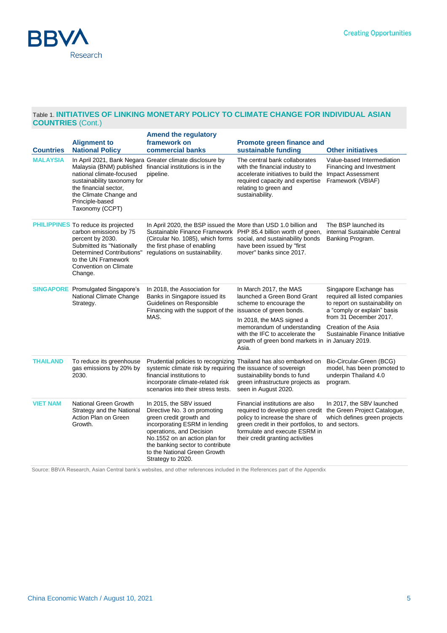

#### Table 1. **INITIATIVES OF LINKING MONETARY POLICY TO CLIMATE CHANGE FOR INDIVIDUAL ASIAN COUNTRIES** (Cont.)

| <b>Countries</b> | <b>Alignment to</b><br><b>National Policy</b>                                                                                                                                                                        | <b>Amend the regulatory</b><br>framework on<br>commercial banks                                                                                                                                                                                                           | <b>Promote green finance and</b><br>sustainable funding                                                                                                                                                                                     | <b>Other initiatives</b>                                                                                                                                                                                     |
|------------------|----------------------------------------------------------------------------------------------------------------------------------------------------------------------------------------------------------------------|---------------------------------------------------------------------------------------------------------------------------------------------------------------------------------------------------------------------------------------------------------------------------|---------------------------------------------------------------------------------------------------------------------------------------------------------------------------------------------------------------------------------------------|--------------------------------------------------------------------------------------------------------------------------------------------------------------------------------------------------------------|
| <b>MALAYSIA</b>  | national climate-focused<br>sustainability taxonomy for<br>the financial sector,<br>the Climate Change and<br>Principle-based<br>Taxonomy (CCPT)                                                                     | In April 2021, Bank Negara Greater climate disclosure by<br>Malaysia (BNM) published financial institutions is in the<br>pipeline.                                                                                                                                        | The central bank collaborates<br>with the financial industry to<br>accelerate initiatives to build the<br>required capacity and expertise<br>relating to green and<br>sustainability.                                                       | Value-based Intermediation<br>Financing and Investment<br><b>Impact Assessment</b><br>Framework (VBIAF)                                                                                                      |
|                  | <b>PHILIPPINES</b> To reduce its projected<br>carbon emissions by 75<br>percent by 2030.<br>Submitted its "Nationally<br><b>Determined Contributions"</b><br>to the UN Framework<br>Convention on Climate<br>Change. | In April 2020, the BSP issued the More than USD 1.0 billion and<br>Sustainable Finance Framework PHP 85.4 billion worth of green,<br>(Circular No. 1085), which forms social, and sustainability bonds<br>the first phase of enabling<br>regulations on sustainability.   | have been issued by "first<br>mover" banks since 2017.                                                                                                                                                                                      | The BSP launched its<br>internal Sustainable Central<br>Banking Program.                                                                                                                                     |
|                  | <b>SINGAPORE</b> Promulgated Singapore's<br>National Climate Change<br>Strategy.                                                                                                                                     | In 2018, the Association for<br>Banks in Singapore issued its<br>Guidelines on Responsible<br>Financing with the support of the issuance of green bonds.<br>MAS.                                                                                                          | In March 2017, the MAS<br>launched a Green Bond Grant<br>scheme to encourage the<br>In 2018, the MAS signed a<br>memorandum of understanding<br>with the IFC to accelerate the<br>growth of green bond markets in in January 2019.<br>Asia. | Singapore Exchange has<br>required all listed companies<br>to report on sustainability on<br>a "comply or explain" basis<br>from 31 December 2017.<br>Creation of the Asia<br>Sustainable Finance Initiative |
| <b>THAILAND</b>  | To reduce its greenhouse<br>gas emissions by 20% by<br>2030.                                                                                                                                                         | Prudential policies to recognizing Thailand has also embarked on<br>systemic climate risk by requiring the issuance of sovereign<br>financial institutions to<br>incorporate climate-related risk<br>scenarios into their stress tests.                                   | sustainability bonds to fund<br>green infrastructure projects as<br>seen in August 2020.                                                                                                                                                    | Bio-Circular-Green (BCG)<br>model, has been promoted to<br>underpin Thailand 4.0<br>program.                                                                                                                 |
| <b>VIET NAM</b>  | National Green Growth<br>Strategy and the National<br>Action Plan on Green<br>Growth.                                                                                                                                | In 2015, the SBV issued<br>Directive No. 3 on promoting<br>green credit growth and<br>incorporating ESRM in lending<br>operations, and Decision<br>No.1552 on an action plan for<br>the banking sector to contribute<br>to the National Green Growth<br>Strategy to 2020. | Financial institutions are also<br>required to develop green credit<br>policy to increase the share of<br>green credit in their portfolios, to and sectors.<br>formulate and execute ESRM in<br>their credit granting activities            | In 2017, the SBV launched<br>the Green Project Catalogue,<br>which defines green projects                                                                                                                    |

Source: BBVA Research, Asian Central bank's websites, and other references included in the References part of the Appendix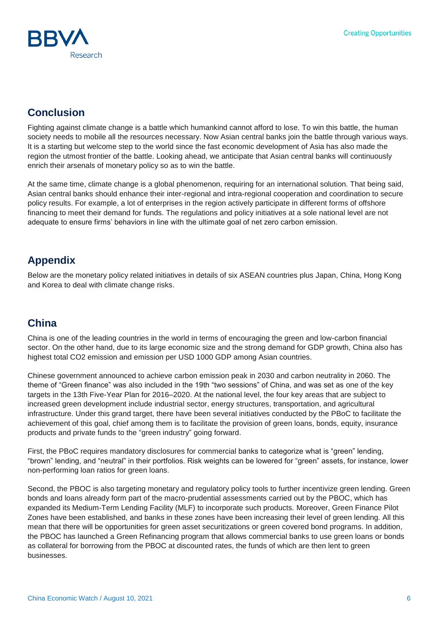

# **Conclusion**

Fighting against climate change is a battle which humankind cannot afford to lose. To win this battle, the human society needs to mobile all the resources necessary. Now Asian central banks join the battle through various ways. It is a starting but welcome step to the world since the fast economic development of Asia has also made the region the utmost frontier of the battle. Looking ahead, we anticipate that Asian central banks will continuously enrich their arsenals of monetary policy so as to win the battle.

At the same time, climate change is a global phenomenon, requiring for an international solution. That being said, Asian central banks should enhance their inter-regional and intra-regional cooperation and coordination to secure policy results. For example, a lot of enterprises in the region actively participate in different forms of offshore financing to meet their demand for funds. The regulations and policy initiatives at a sole national level are not adequate to ensure firms' behaviors in line with the ultimate goal of net zero carbon emission.

# **Appendix**

Below are the monetary policy related initiatives in details of six ASEAN countries plus Japan, China, Hong Kong and Korea to deal with climate change risks.

# **China**

China is one of the leading countries in the world in terms of encouraging the green and low-carbon financial sector. On the other hand, due to its large economic size and the strong demand for GDP growth, China also has highest total CO2 emission and emission per USD 1000 GDP among Asian countries.

Chinese government announced to achieve carbon emission peak in 2030 and carbon neutrality in 2060. The theme of "Green finance" was also included in the 19th "two sessions" of China, and was set as one of the key targets in the 13th Five-Year Plan for 2016–2020. At the national level, the four key areas that are subject to increased green development include industrial sector, energy structures, transportation, and agricultural infrastructure. Under this grand target, there have been several initiatives conducted by the PBoC to facilitate the achievement of this goal, chief among them is to facilitate the provision of green loans, bonds, equity, insurance products and private funds to the "green industry" going forward.

First, the PBoC requires mandatory disclosures for commercial banks to categorize what is "green" lending, "brown" lending, and "neutral" in their portfolios. Risk weights can be lowered for "green" assets, for instance, lower non-performing loan ratios for green loans.

Second, the PBOC is also targeting monetary and regulatory policy tools to further incentivize green lending. Green bonds and loans already form part of the macro-prudential assessments carried out by the PBOC, which has expanded its Medium-Term Lending Facility (MLF) to incorporate such products. Moreover, Green Finance Pilot Zones have been established, and banks in these zones have been increasing their level of green lending. All this mean that there will be opportunities for green asset securitizations or green covered bond programs. In addition, the PBOC has launched a Green Refinancing program that allows commercial banks to use green loans or bonds as collateral for borrowing from the PBOC at discounted rates, the funds of which are then lent to green businesses.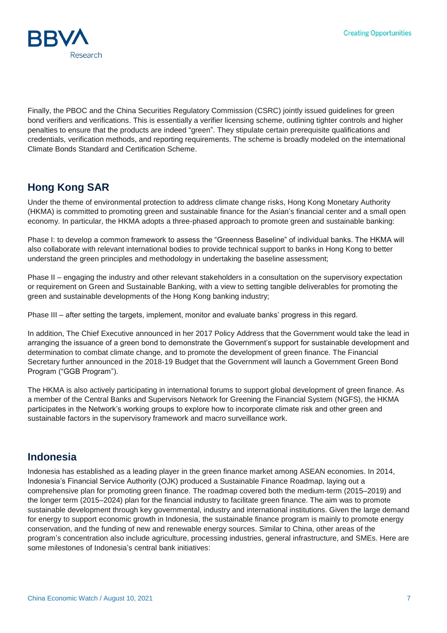

Finally, the PBOC and the China Securities Regulatory Commission (CSRC) jointly issued guidelines for green bond verifiers and verifications. This is essentially a verifier licensing scheme, outlining tighter controls and higher penalties to ensure that the products are indeed "green". They stipulate certain prerequisite qualifications and credentials, verification methods, and reporting requirements. The scheme is broadly modeled on the international Climate Bonds Standard and Certification Scheme.

# **Hong Kong SAR**

Under the theme of environmental protection to address climate change risks, Hong Kong Monetary Authority (HKMA) is committed to promoting green and sustainable finance for the Asian's financial center and a small open economy. In particular, the HKMA adopts a three-phased approach to promote green and sustainable banking:

Phase I: to develop a common framework to assess the "Greenness Baseline" of individual banks. The HKMA will also collaborate with relevant international bodies to provide technical support to banks in Hong Kong to better understand the green principles and methodology in undertaking the baseline assessment;

Phase II – engaging the industry and other relevant stakeholders in a consultation on the supervisory expectation or requirement on Green and Sustainable Banking, with a view to setting tangible deliverables for promoting the green and sustainable developments of the Hong Kong banking industry;

Phase III – after setting the targets, implement, monitor and evaluate banks' progress in this regard.

In addition, The Chief Executive announced in her 2017 Policy Address that the Government would take the lead in arranging the issuance of a green bond to demonstrate the Government's support for sustainable development and determination to combat climate change, and to promote the development of green finance. The Financial Secretary further announced in the 2018-19 Budget that the Government will launch a Government Green Bond Program ("GGB Program").

The HKMA is also actively participating in international forums to support global development of green finance. As a member of the Central Banks and Supervisors Network for Greening the Financial System (NGFS), the HKMA participates in the Network's working groups to explore how to incorporate climate risk and other green and sustainable factors in the supervisory framework and macro surveillance work.

### **Indonesia**

Indonesia has established as a leading player in the green finance market among ASEAN economies. In 2014, Indonesia's Financial Service Authority (OJK) produced a Sustainable Finance Roadmap, laying out a comprehensive plan for promoting green finance. The roadmap covered both the medium-term (2015–2019) and the longer term (2015–2024) plan for the financial industry to facilitate green finance. The aim was to promote sustainable development through key governmental, industry and international institutions. Given the large demand for energy to support economic growth in Indonesia, the sustainable finance program is mainly to promote energy conservation, and the funding of new and renewable energy sources. Similar to China, other areas of the program's concentration also include agriculture, processing industries, general infrastructure, and SMEs. Here are some milestones of Indonesia's central bank initiatives: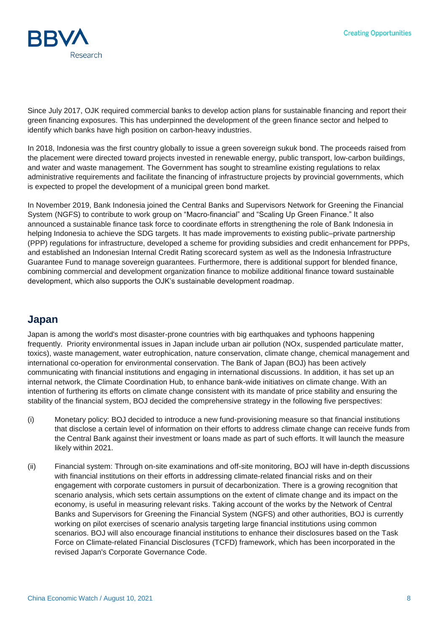

Since July 2017, OJK required commercial banks to develop action plans for sustainable financing and report their green financing exposures. This has underpinned the development of the green finance sector and helped to identify which banks have high position on carbon-heavy industries.

In 2018, Indonesia was the first country globally to issue a green sovereign sukuk bond. The proceeds raised from the placement were directed toward projects invested in renewable energy, public transport, low-carbon buildings, and water and waste management. The Government has sought to streamline existing regulations to relax administrative requirements and facilitate the financing of infrastructure projects by provincial governments, which is expected to propel the development of a municipal green bond market.

In November 2019, Bank Indonesia joined the Central Banks and Supervisors Network for Greening the Financial System (NGFS) to contribute to work group on "Macro-financial" and "Scaling Up Green Finance." It also announced a sustainable finance task force to coordinate efforts in strengthening the role of Bank Indonesia in helping Indonesia to achieve the SDG targets. It has made improvements to existing public–private partnership (PPP) regulations for infrastructure, developed a scheme for providing subsidies and credit enhancement for PPPs, and established an Indonesian Internal Credit Rating scorecard system as well as the Indonesia Infrastructure Guarantee Fund to manage sovereign guarantees. Furthermore, there is additional support for blended finance, combining commercial and development organization finance to mobilize additional finance toward sustainable development, which also supports the OJK's sustainable development roadmap.

### **Japan**

Japan is among the world's most disaster-prone countries with big earthquakes and typhoons happening frequently. Priority environmental issues in Japan include urban air pollution (NOx, suspended particulate matter, toxics), waste management, water eutrophication, nature conservation, climate change, chemical management and international co-operation for environmental conservation. The Bank of Japan (BOJ) has been actively communicating with financial institutions and engaging in international discussions. In addition, it has set up an internal network, the Climate Coordination Hub, to enhance bank-wide initiatives on climate change. With an intention of furthering its efforts on climate change consistent with its mandate of price stability and ensuring the stability of the financial system, BOJ decided the comprehensive strategy in the following five perspectives:

- (i) Monetary policy: BOJ decided to introduce a new fund-provisioning measure so that financial institutions that disclose a certain level of information on their efforts to address climate change can receive funds from the Central Bank against their investment or loans made as part of such efforts. It will launch the measure likely within 2021.
- (ii) Financial system: Through on-site examinations and off-site monitoring, BOJ will have in-depth discussions with financial institutions on their efforts in addressing climate-related financial risks and on their engagement with corporate customers in pursuit of decarbonization. There is a growing recognition that scenario analysis, which sets certain assumptions on the extent of climate change and its impact on the economy, is useful in measuring relevant risks. Taking account of the works by the Network of Central Banks and Supervisors for Greening the Financial System (NGFS) and other authorities, BOJ is currently working on pilot exercises of scenario analysis targeting large financial institutions using common scenarios. BOJ will also encourage financial institutions to enhance their disclosures based on the Task Force on Climate-related Financial Disclosures (TCFD) framework, which has been incorporated in the revised Japan's Corporate Governance Code.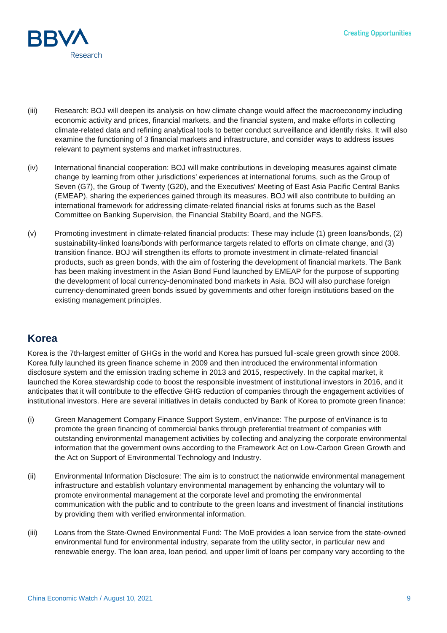

- (iii) Research: BOJ will deepen its analysis on how climate change would affect the macroeconomy including economic activity and prices, financial markets, and the financial system, and make efforts in collecting climate-related data and refining analytical tools to better conduct surveillance and identify risks. It will also examine the functioning of 3 financial markets and infrastructure, and consider ways to address issues relevant to payment systems and market infrastructures.
- (iv) International financial cooperation: BOJ will make contributions in developing measures against climate change by learning from other jurisdictions' experiences at international forums, such as the Group of Seven (G7), the Group of Twenty (G20), and the Executives' Meeting of East Asia Pacific Central Banks (EMEAP), sharing the experiences gained through its measures. BOJ will also contribute to building an international framework for addressing climate-related financial risks at forums such as the Basel Committee on Banking Supervision, the Financial Stability Board, and the NGFS.
- (v) Promoting investment in climate-related financial products: These may include (1) green loans/bonds, (2) sustainability-linked loans/bonds with performance targets related to efforts on climate change, and (3) transition finance. BOJ will strengthen its efforts to promote investment in climate-related financial products, such as green bonds, with the aim of fostering the development of financial markets. The Bank has been making investment in the Asian Bond Fund launched by EMEAP for the purpose of supporting the development of local currency-denominated bond markets in Asia. BOJ will also purchase foreign currency-denominated green bonds issued by governments and other foreign institutions based on the existing management principles.

# **Korea**

Korea is the 7th-largest emitter of GHGs in the world and Korea has pursued full-scale green growth since 2008. Korea fully launched its green finance scheme in 2009 and then introduced the environmental information disclosure system and the emission trading scheme in 2013 and 2015, respectively. In the capital market, it launched the Korea stewardship code to boost the responsible investment of institutional investors in 2016, and it anticipates that it will contribute to the effective GHG reduction of companies through the engagement activities of institutional investors. Here are several initiatives in details conducted by Bank of Korea to promote green finance:

- (i) Green Management Company Finance Support System, enVinance: The purpose of enVinance is to promote the green financing of commercial banks through preferential treatment of companies with outstanding environmental management activities by collecting and analyzing the corporate environmental information that the government owns according to the Framework Act on Low-Carbon Green Growth and the Act on Support of Environmental Technology and Industry.
- (ii) Environmental Information Disclosure: The aim is to construct the nationwide environmental management infrastructure and establish voluntary environmental management by enhancing the voluntary will to promote environmental management at the corporate level and promoting the environmental communication with the public and to contribute to the green loans and investment of financial institutions by providing them with verified environmental information.
- (iii) Loans from the State-Owned Environmental Fund: The MoE provides a loan service from the state-owned environmental fund for environmental industry, separate from the utility sector, in particular new and renewable energy. The loan area, loan period, and upper limit of loans per company vary according to the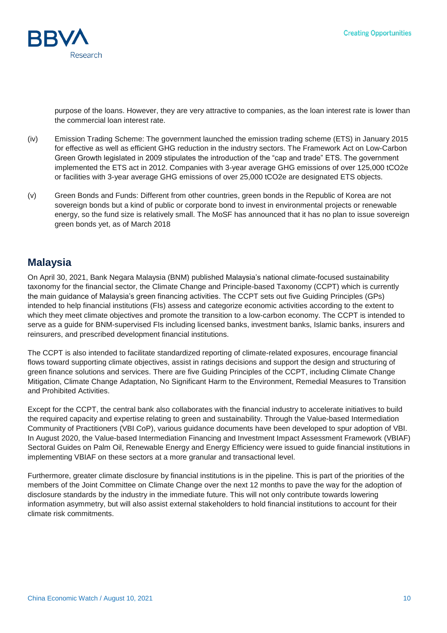

purpose of the loans. However, they are very attractive to companies, as the loan interest rate is lower than the commercial loan interest rate.

- (iv) Emission Trading Scheme: The government launched the emission trading scheme (ETS) in January 2015 for effective as well as efficient GHG reduction in the industry sectors. The Framework Act on Low-Carbon Green Growth legislated in 2009 stipulates the introduction of the "cap and trade" ETS. The government implemented the ETS act in 2012. Companies with 3-year average GHG emissions of over 125,000 tCO2e or facilities with 3-year average GHG emissions of over 25,000 tCO2e are designated ETS objects.
- (v) Green Bonds and Funds: Different from other countries, green bonds in the Republic of Korea are not sovereign bonds but a kind of public or corporate bond to invest in environmental projects or renewable energy, so the fund size is relatively small. The MoSF has announced that it has no plan to issue sovereign green bonds yet, as of March 2018

#### **Malaysia**

On April 30, 2021, Bank Negara Malaysia (BNM) published Malaysia's national climate-focused sustainability taxonomy for the financial sector, the Climate Change and Principle-based Taxonomy (CCPT) which is currently the main guidance of Malaysia's green financing activities. The CCPT sets out five Guiding Principles (GPs) intended to help financial institutions (FIs) assess and categorize economic activities according to the extent to which they meet climate objectives and promote the transition to a low-carbon economy. The CCPT is intended to serve as a guide for BNM-supervised FIs including licensed banks, investment banks, Islamic banks, insurers and reinsurers, and prescribed development financial institutions.

The CCPT is also intended to facilitate standardized reporting of climate-related exposures, encourage financial flows toward supporting climate objectives, assist in ratings decisions and support the design and structuring of green finance solutions and services. There are five Guiding Principles of the CCPT, including Climate Change Mitigation, Climate Change Adaptation, No Significant Harm to the Environment, Remedial Measures to Transition and Prohibited Activities.

Except for the CCPT, the central bank also collaborates with the financial industry to accelerate initiatives to build the required capacity and expertise relating to green and sustainability. Through the Value-based Intermediation Community of Practitioners (VBI CoP), various guidance documents have been developed to spur adoption of VBI. In August 2020, the Value-based Intermediation Financing and Investment Impact Assessment Framework (VBIAF) Sectoral Guides on Palm Oil, Renewable Energy and Energy Efficiency were issued to guide financial institutions in implementing VBIAF on these sectors at a more granular and transactional level.

Furthermore, greater climate disclosure by financial institutions is in the pipeline. This is part of the priorities of the members of the Joint Committee on Climate Change over the next 12 months to pave the way for the adoption of disclosure standards by the industry in the immediate future. This will not only contribute towards lowering information asymmetry, but will also assist external stakeholders to hold financial institutions to account for their climate risk commitments.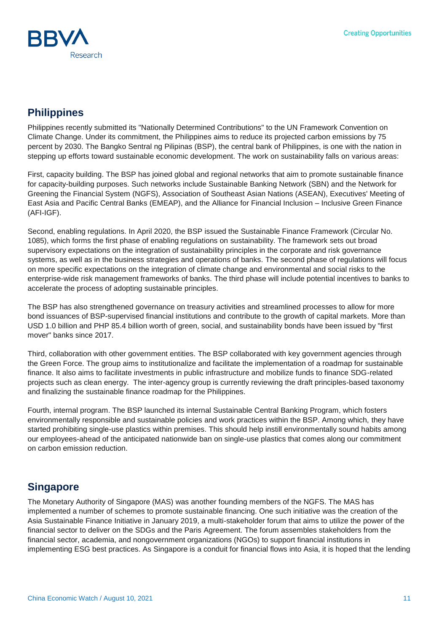

# **Philippines**

Philippines recently submitted its "Nationally Determined Contributions" to the UN Framework Convention on Climate Change. Under its commitment, the Philippines aims to reduce its projected carbon emissions by 75 percent by 2030. The Bangko Sentral ng Pilipinas (BSP), the central bank of Philippines, is one with the nation in stepping up efforts toward sustainable economic development. The work on sustainability falls on various areas:

First, capacity building. The BSP has joined global and regional networks that aim to promote sustainable finance for capacity-building purposes. Such networks include Sustainable Banking Network (SBN) and the Network for Greening the Financial System (NGFS), Association of Southeast Asian Nations (ASEAN), Executives' Meeting of East Asia and Pacific Central Banks (EMEAP), and the Alliance for Financial Inclusion – Inclusive Green Finance (AFI-IGF).

Second, enabling regulations. In April 2020, the BSP issued the Sustainable Finance Framework (Circular No. 1085), which forms the first phase of enabling regulations on sustainability. The framework sets out broad supervisory expectations on the integration of sustainability principles in the corporate and risk governance systems, as well as in the business strategies and operations of banks. The second phase of regulations will focus on more specific expectations on the integration of climate change and environmental and social risks to the enterprise-wide risk management frameworks of banks. The third phase will include potential incentives to banks to accelerate the process of adopting sustainable principles.

The BSP has also strengthened governance on treasury activities and streamlined processes to allow for more bond issuances of BSP-supervised financial institutions and contribute to the growth of capital markets. More than USD 1.0 billion and PHP 85.4 billion worth of green, social, and sustainability bonds have been issued by "first mover" banks since 2017.

Third, collaboration with other government entities. The BSP collaborated with key government agencies through the Green Force. The group aims to institutionalize and facilitate the implementation of a roadmap for sustainable finance. It also aims to facilitate investments in public infrastructure and mobilize funds to finance SDG-related projects such as clean energy. The inter-agency group is currently reviewing the draft principles-based taxonomy and finalizing the sustainable finance roadmap for the Philippines.

Fourth, internal program. The BSP launched its internal Sustainable Central Banking Program, which fosters environmentally responsible and sustainable policies and work practices within the BSP. Among which, they have started prohibiting single-use plastics within premises. This should help instill environmentally sound habits among our employees-ahead of the anticipated nationwide ban on single-use plastics that comes along our commitment on carbon emission reduction.

# **Singapore**

The Monetary Authority of Singapore (MAS) was another founding members of the NGFS. The MAS has implemented a number of schemes to promote sustainable financing. One such initiative was the creation of the Asia Sustainable Finance Initiative in January 2019, a multi-stakeholder forum that aims to utilize the power of the financial sector to deliver on the SDGs and the Paris Agreement. The forum assembles stakeholders from the financial sector, academia, and nongovernment organizations (NGOs) to support financial institutions in implementing ESG best practices. As Singapore is a conduit for financial flows into Asia, it is hoped that the lending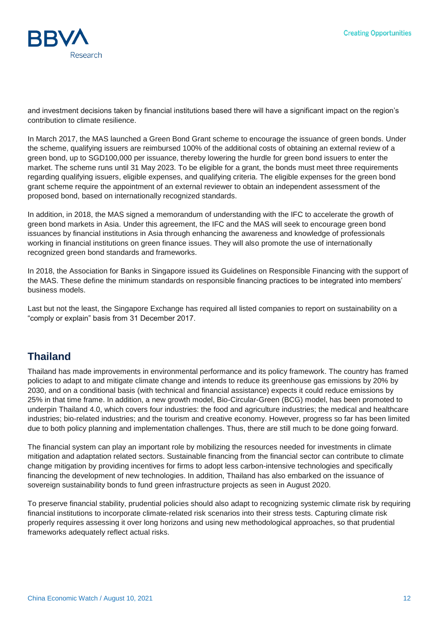

and investment decisions taken by financial institutions based there will have a significant impact on the region's contribution to climate resilience.

In March 2017, the MAS launched a Green Bond Grant scheme to encourage the issuance of green bonds. Under the scheme, qualifying issuers are reimbursed 100% of the additional costs of obtaining an external review of a green bond, up to SGD100,000 per issuance, thereby lowering the hurdle for green bond issuers to enter the market. The scheme runs until 31 May 2023. To be eligible for a grant, the bonds must meet three requirements regarding qualifying issuers, eligible expenses, and qualifying criteria. The eligible expenses for the green bond grant scheme require the appointment of an external reviewer to obtain an independent assessment of the proposed bond, based on internationally recognized standards.

In addition, in 2018, the MAS signed a memorandum of understanding with the IFC to accelerate the growth of green bond markets in Asia. Under this agreement, the IFC and the MAS will seek to encourage green bond issuances by financial institutions in Asia through enhancing the awareness and knowledge of professionals working in financial institutions on green finance issues. They will also promote the use of internationally recognized green bond standards and frameworks.

In 2018, the Association for Banks in Singapore issued its Guidelines on Responsible Financing with the support of the MAS. These define the minimum standards on responsible financing practices to be integrated into members' business models.

Last but not the least, the Singapore Exchange has required all listed companies to report on sustainability on a "comply or explain" basis from 31 December 2017.

# **Thailand**

Thailand has made improvements in environmental performance and its policy framework. The country has framed policies to adapt to and mitigate climate change and intends to reduce its greenhouse gas emissions by 20% by 2030, and on a conditional basis (with technical and financial assistance) expects it could reduce emissions by 25% in that time frame. In addition, a new growth model, Bio-Circular-Green (BCG) model, has been promoted to underpin Thailand 4.0, which covers four industries: the food and agriculture industries; the medical and healthcare industries; bio-related industries; and the tourism and creative economy. However, progress so far has been limited due to both policy planning and implementation challenges. Thus, there are still much to be done going forward.

The financial system can play an important role by mobilizing the resources needed for investments in climate mitigation and adaptation related sectors. Sustainable financing from the financial sector can contribute to climate change mitigation by providing incentives for firms to adopt less carbon-intensive technologies and specifically financing the development of new technologies. In addition, Thailand has also embarked on the issuance of sovereign sustainability bonds to fund green infrastructure projects as seen in August 2020.

To preserve financial stability, prudential policies should also adapt to recognizing systemic climate risk by requiring financial institutions to incorporate climate-related risk scenarios into their stress tests. Capturing climate risk properly requires assessing it over long horizons and using new methodological approaches, so that prudential frameworks adequately reflect actual risks.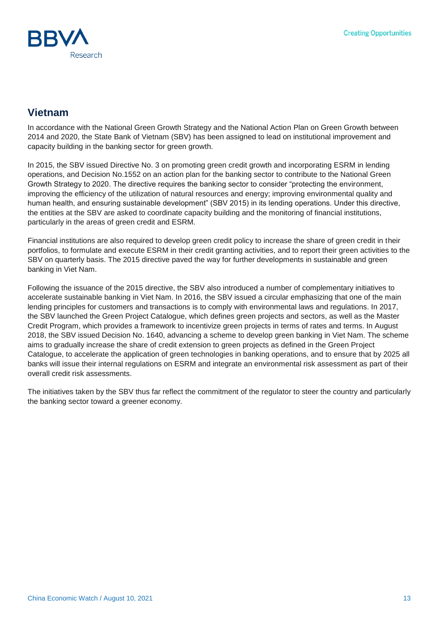

### **Vietnam**

In accordance with the National Green Growth Strategy and the National Action Plan on Green Growth between 2014 and 2020, the State Bank of Vietnam (SBV) has been assigned to lead on institutional improvement and capacity building in the banking sector for green growth.

In 2015, the SBV issued Directive No. 3 on promoting green credit growth and incorporating ESRM in lending operations, and Decision No.1552 on an action plan for the banking sector to contribute to the National Green Growth Strategy to 2020. The directive requires the banking sector to consider "protecting the environment, improving the efficiency of the utilization of natural resources and energy; improving environmental quality and human health, and ensuring sustainable development" (SBV 2015) in its lending operations. Under this directive, the entities at the SBV are asked to coordinate capacity building and the monitoring of financial institutions, particularly in the areas of green credit and ESRM.

Financial institutions are also required to develop green credit policy to increase the share of green credit in their portfolios, to formulate and execute ESRM in their credit granting activities, and to report their green activities to the SBV on quarterly basis. The 2015 directive paved the way for further developments in sustainable and green banking in Viet Nam.

Following the issuance of the 2015 directive, the SBV also introduced a number of complementary initiatives to accelerate sustainable banking in Viet Nam. In 2016, the SBV issued a circular emphasizing that one of the main lending principles for customers and transactions is to comply with environmental laws and regulations. In 2017, the SBV launched the Green Project Catalogue, which defines green projects and sectors, as well as the Master Credit Program, which provides a framework to incentivize green projects in terms of rates and terms. In August 2018, the SBV issued Decision No. 1640, advancing a scheme to develop green banking in Viet Nam. The scheme aims to gradually increase the share of credit extension to green projects as defined in the Green Project Catalogue, to accelerate the application of green technologies in banking operations, and to ensure that by 2025 all banks will issue their internal regulations on ESRM and integrate an environmental risk assessment as part of their overall credit risk assessments.

The initiatives taken by the SBV thus far reflect the commitment of the regulator to steer the country and particularly the banking sector toward a greener economy.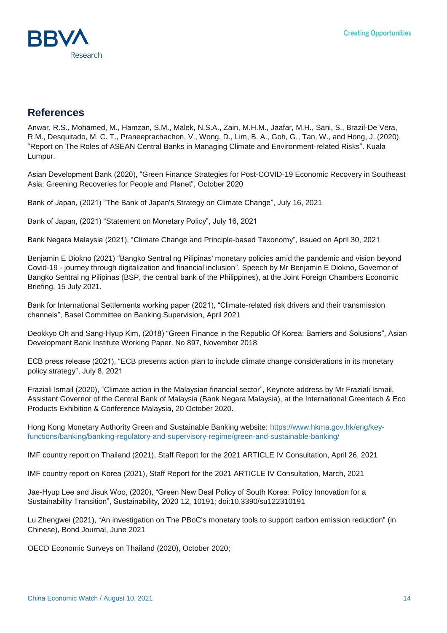# **References**

Anwar, R.S., Mohamed, M., Hamzan, S.M., Malek, N.S.A., Zain, M.H.M., Jaafar, M.H., Sani, S., Brazil-De Vera, R.M., Desquitado, M. C. T., Praneeprachachon, V., Wong, D., Lim, B. A., Goh, G., Tan, W., and Hong, J. (2020), "Report on The Roles of ASEAN Central Banks in Managing Climate and Environment-related Risks". Kuala Lumpur.

Asian Development Bank (2020), "Green Finance Strategies for Post-COVID-19 Economic Recovery in Southeast Asia: Greening Recoveries for People and Planet", October 2020

Bank of Japan, (2021) "The Bank of Japan's Strategy on Climate Change", July 16, 2021

Bank of Japan, (2021) "Statement on Monetary Policy", July 16, 2021

Bank Negara Malaysia (2021), "Climate Change and Principle-based Taxonomy", issued on April 30, 2021

Benjamin E Diokno (2021) "Bangko Sentral ng Pilipinas' monetary policies amid the pandemic and vision beyond Covid-19 - journey through digitalization and financial inclusion". Speech by Mr [Benjamin E Diokno,](https://www.bis.org/author/benjamin_e_diokno.htm) Governor of Bangko Sentral ng Pilipinas (BSP, the central bank of the Philippines), at the Joint Foreign Chambers Economic Briefing, 15 July 2021.

Bank for International Settlements working paper (2021), "Climate-related risk drivers and their transmission channels", Basel Committee on Banking Supervision, April 2021

Deokkyo Oh and Sang-Hyup Kim, (2018) "Green Finance in the Republic Of Korea: Barriers and Solusions", Asian Development Bank Institute Working Paper, No 897, November 2018

ECB press release (2021), "ECB presents action plan to include climate change considerations in its monetary policy strategy", July 8, 2021

Fraziali Ismail (2020), "Climate action in the Malaysian financial sector", Keynote address by Mr [Fraziali Ismail,](https://www.bis.org/author/fraziali_ismail.htm) Assistant Governor of the Central Bank of Malaysia (Bank Negara Malaysia), at the International Greentech & Eco Products Exhibition & Conference Malaysia, 20 October 2020.

Hong Kong Monetary Authority Green and Sustainable Banking website: [https://www.hkma.gov.hk/eng/key](https://www.hkma.gov.hk/eng/key-functions/banking/banking-regulatory-and-supervisory-regime/green-and-sustainable-banking/)[functions/banking/banking-regulatory-and-supervisory-regime/green-and-sustainable-banking/](https://www.hkma.gov.hk/eng/key-functions/banking/banking-regulatory-and-supervisory-regime/green-and-sustainable-banking/)

IMF country report on Thailand (2021), Staff Report for the 2021 ARTICLE IV Consultation, April 26, 2021

IMF country report on Korea (2021), Staff Report for the 2021 ARTICLE IV Consultation, March, 2021

Jae-Hyup Lee and Jisuk Woo, (2020), "Green New Deal Policy of South Korea: Policy Innovation for a Sustainability Transition", Sustainability, 2020 12, 10191; doi:10.3390/su122310191

Lu Zhengwei (2021), "An investigation on The PBoC's monetary tools to support carbon emission reduction" (in Chinese), Bond Journal, June 2021

OECD Economic Surveys on Thailand (2020), October 2020;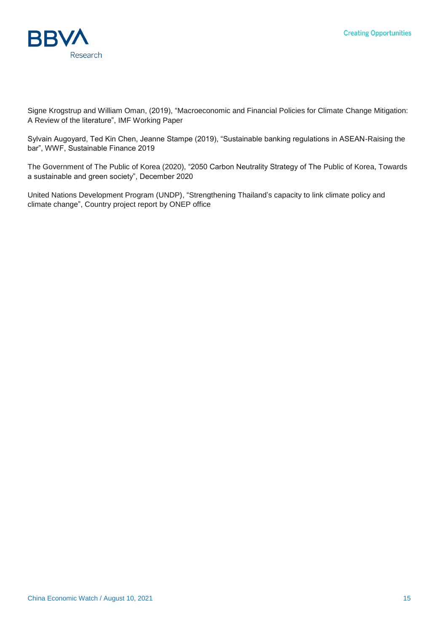

Signe Krogstrup and William Oman, (2019), "Macroeconomic and Financial Policies for Climate Change Mitigation: A Review of the literature", IMF Working Paper

Sylvain Augoyard, Ted Kin Chen, Jeanne Stampe (2019), "Sustainable banking regulations in ASEAN-Raising the bar", WWF, Sustainable Finance 2019

The Government of The Public of Korea (2020), "2050 Carbon Neutrality Strategy of The Public of Korea, Towards a sustainable and green society", December 2020

United Nations Development Program (UNDP), "Strengthening Thailand's capacity to link climate policy and climate change", Country project report by ONEP office